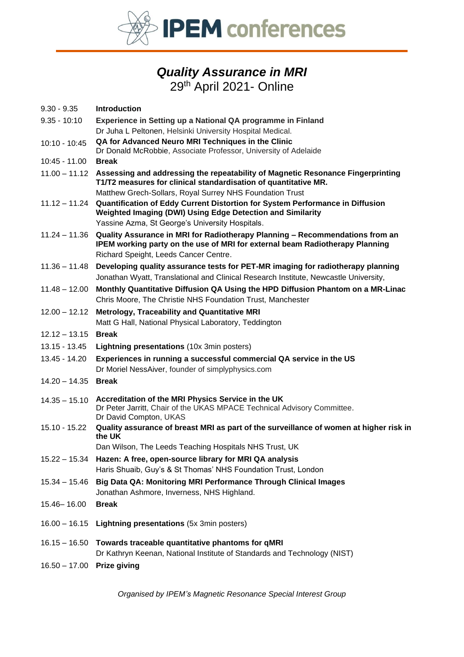

# *Quality Assurance in MRI* 29<sup>th</sup> April 2021- Online

| $9.30 - 9.35$   | <b>Introduction</b>                                                                                                                                                                                   |  |  |  |  |
|-----------------|-------------------------------------------------------------------------------------------------------------------------------------------------------------------------------------------------------|--|--|--|--|
| $9.35 - 10:10$  | Experience in Setting up a National QA programme in Finland                                                                                                                                           |  |  |  |  |
|                 | Dr Juha L Peltonen, Helsinki University Hospital Medical.                                                                                                                                             |  |  |  |  |
| $10:10 - 10:45$ | QA for Advanced Neuro MRI Techniques in the Clinic                                                                                                                                                    |  |  |  |  |
| 10:45 - 11.00   | Dr Donald McRobbie, Associate Professor, University of Adelaide<br><b>Break</b>                                                                                                                       |  |  |  |  |
|                 | 11.00 - 11.12 Assessing and addressing the repeatability of Magnetic Resonance Fingerprinting                                                                                                         |  |  |  |  |
|                 | T1/T2 measures for clinical standardisation of quantitative MR.                                                                                                                                       |  |  |  |  |
|                 | Matthew Grech-Sollars, Royal Surrey NHS Foundation Trust                                                                                                                                              |  |  |  |  |
| $11.12 - 11.24$ | Quantification of Eddy Current Distortion for System Performance in Diffusion<br>Weighted Imaging (DWI) Using Edge Detection and Similarity                                                           |  |  |  |  |
|                 | Yassine Azma, St George's University Hospitals.                                                                                                                                                       |  |  |  |  |
| $11.24 - 11.36$ | Quality Assurance in MRI for Radiotherapy Planning - Recommendations from an<br>IPEM working party on the use of MRI for external beam Radiotherapy Planning<br>Richard Speight, Leeds Cancer Centre. |  |  |  |  |
| $11.36 - 11.48$ | Developing quality assurance tests for PET-MR imaging for radiotherapy planning<br>Jonathan Wyatt, Translational and Clinical Research Institute, Newcastle University,                               |  |  |  |  |
| $11.48 - 12.00$ | Monthly Quantitative Diffusion QA Using the HPD Diffusion Phantom on a MR-Linac<br>Chris Moore, The Christie NHS Foundation Trust, Manchester                                                         |  |  |  |  |
| $12.00 - 12.12$ | Metrology, Traceability and Quantitative MRI<br>Matt G Hall, National Physical Laboratory, Teddington                                                                                                 |  |  |  |  |
| $12.12 - 13.15$ | <b>Break</b>                                                                                                                                                                                          |  |  |  |  |
| 13.15 - 13.45   | Lightning presentations (10x 3min posters)                                                                                                                                                            |  |  |  |  |
| 13.45 - 14.20   | Experiences in running a successful commercial QA service in the US<br>Dr Moriel NessAiver, founder of simplyphysics.com                                                                              |  |  |  |  |
| $14.20 - 14.35$ | <b>Break</b>                                                                                                                                                                                          |  |  |  |  |
| $14.35 - 15.10$ | Accreditation of the MRI Physics Service in the UK<br>Dr Peter Jarritt, Chair of the UKAS MPACE Technical Advisory Committee.<br>Dr David Compton, UKAS                                               |  |  |  |  |
| 15.10 - 15.22   | Quality assurance of breast MRI as part of the surveillance of women at higher risk in<br>the UK                                                                                                      |  |  |  |  |
|                 | Dan Wilson, The Leeds Teaching Hospitals NHS Trust, UK                                                                                                                                                |  |  |  |  |
|                 | 15.22 - 15.34 Hazen: A free, open-source library for MRI QA analysis<br>Haris Shuaib, Guy's & St Thomas' NHS Foundation Trust, London                                                                 |  |  |  |  |
| $15.34 - 15.46$ | Big Data QA: Monitoring MRI Performance Through Clinical Images<br>Jonathan Ashmore, Inverness, NHS Highland.                                                                                         |  |  |  |  |
| 15.46 - 16.00   | <b>Break</b>                                                                                                                                                                                          |  |  |  |  |
| $16.00 - 16.15$ | Lightning presentations (5x 3min posters)                                                                                                                                                             |  |  |  |  |
| $16.15 - 16.50$ | Towards traceable quantitative phantoms for qMRI<br>Dr Kathryn Keenan, National Institute of Standards and Technology (NIST)                                                                          |  |  |  |  |
| $16.50 - 17.00$ | <b>Prize giving</b>                                                                                                                                                                                   |  |  |  |  |

*Organised by IPEM's Magnetic Resonance Special Interest Group*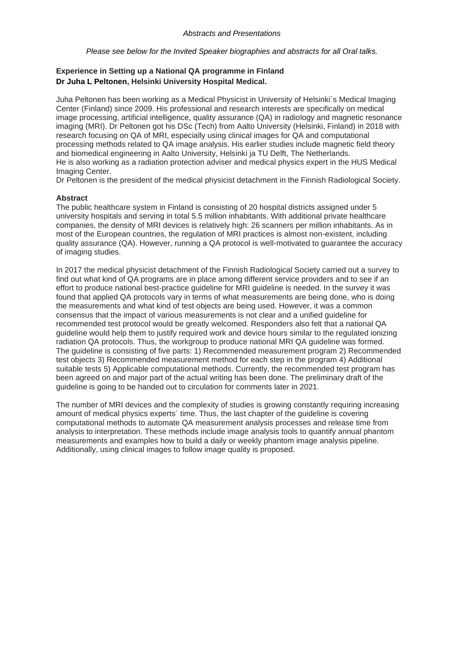*Please see below for the Invited Speaker biographies and abstracts for all Oral talks.*

## **Experience in Setting up a National QA programme in Finland Dr Juha L Peltonen, Helsinki University Hospital Medical.**

Juha Peltonen has been working as a Medical Physicist in University of Helsinki´s Medical Imaging Center (Finland) since 2009. His professional and research interests are specifically on medical image processing, artificial intelligence, quality assurance (QA) in radiology and magnetic resonance imaging (MRI). Dr Peltonen got his DSc (Tech) from Aalto University (Helsinki, Finland) in 2018 with research focusing on QA of MRI, especially using clinical images for QA and computational processing methods related to QA image analysis. His earlier studies include magnetic field theory and biomedical engineering in Aalto University, Helsinki ja TU Delft, The Netherlands. He is also working as a radiation protection adviser and medical physics expert in the HUS Medical Imaging Center.

Dr Peltonen is the president of the medical physicist detachment in the Finnish Radiological Society.

#### **Abstract**

The public healthcare system in Finland is consisting of 20 hospital districts assigned under 5 university hospitals and serving in total 5.5 million inhabitants. With additional private healthcare companies, the density of MRI devices is relatively high: 26 scanners per million inhabitants. As in most of the European countries, the regulation of MRI practices is almost non-existent, including quality assurance (QA). However, running a QA protocol is well-motivated to guarantee the accuracy of imaging studies.

In 2017 the medical physicist detachment of the Finnish Radiological Society carried out a survey to find out what kind of QA programs are in place among different service providers and to see if an effort to produce national best-practice guideline for MRI guideline is needed. In the survey it was found that applied QA protocols vary in terms of what measurements are being done, who is doing the measurements and what kind of test objects are being used. However, it was a common consensus that the impact of various measurements is not clear and a unified guideline for recommended test protocol would be greatly welcomed. Responders also felt that a national QA guideline would help them to justify required work and device hours similar to the regulated ionizing radiation QA protocols. Thus, the workgroup to produce national MRI QA guideline was formed. The guideline is consisting of five parts: 1) Recommended measurement program 2) Recommended test objects 3) Recommended measurement method for each step in the program 4) Additional suitable tests 5) Applicable computational methods. Currently, the recommended test program has been agreed on and major part of the actual writing has been done. The preliminary draft of the guideline is going to be handed out to circulation for comments later in 2021.

The number of MRI devices and the complexity of studies is growing constantly requiring increasing amount of medical physics experts´ time. Thus, the last chapter of the guideline is covering computational methods to automate QA measurement analysis processes and release time from analysis to interpretation. These methods include image analysis tools to quantify annual phantom measurements and examples how to build a daily or weekly phantom image analysis pipeline. Additionally, using clinical images to follow image quality is proposed.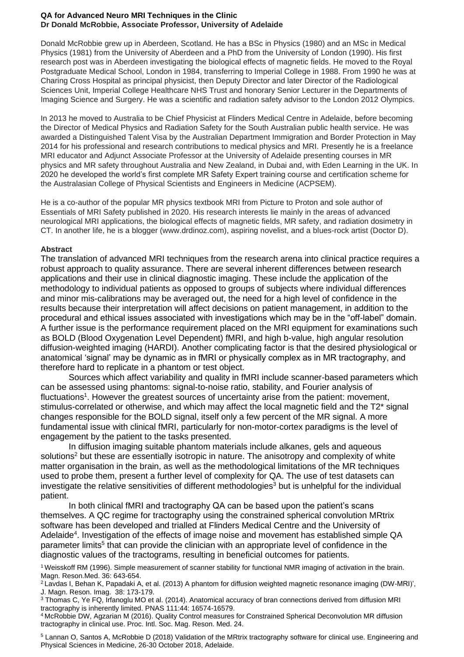#### **QA for Advanced Neuro MRI Techniques in the Clinic Dr Donald McRobbie, Associate Professor, University of Adelaide**

Donald McRobbie grew up in Aberdeen, Scotland. He has a BSc in Physics (1980) and an MSc in Medical Physics (1981) from the University of Aberdeen and a PhD from the University of London (1990). His first research post was in Aberdeen investigating the biological effects of magnetic fields. He moved to the Royal Postgraduate Medical School, London in 1984, transferring to Imperial College in 1988. From 1990 he was at Charing Cross Hospital as principal physicist, then Deputy Director and later Director of the Radiological Sciences Unit, Imperial College Healthcare NHS Trust and honorary Senior Lecturer in the Departments of Imaging Science and Surgery. He was a scientific and radiation safety advisor to the London 2012 Olympics.

In 2013 he moved to Australia to be Chief Physicist at Flinders Medical Centre in Adelaide, before becoming the Director of Medical Physics and Radiation Safety for the South Australian public health service. He was awarded a Distinguished Talent Visa by the Australian Department Immigration and Border Protection in May 2014 for his professional and research contributions to medical physics and MRI. Presently he is a freelance MRI educator and Adjunct Associate Professor at the University of Adelaide presenting courses in MR physics and MR safety throughout Australia and New Zealand, in Dubai and, with Eden Learning in the UK. In 2020 he developed the world's first complete MR Safety Expert training course and certification scheme for the Australasian College of Physical Scientists and Engineers in Medicine (ACPSEM).

He is a co-author of the popular MR physics textbook MRI from Picture to Proton and sole author of Essentials of MRI Safety published in 2020. His research interests lie mainly in the areas of advanced neurological MRI applications, the biological effects of magnetic fields, MR safety, and radiation dosimetry in CT. In another life, he is a blogger (www.drdinoz.com), aspiring novelist, and a blues-rock artist (Doctor D).

## **Abstract**

The translation of advanced MRI techniques from the research arena into clinical practice requires a robust approach to quality assurance. There are several inherent differences between research applications and their use in clinical diagnostic imaging. These include the application of the methodology to individual patients as opposed to groups of subjects where individual differences and minor mis-calibrations may be averaged out, the need for a high level of confidence in the results because their interpretation will affect decisions on patient management, in addition to the procedural and ethical issues associated with investigations which may be in the "off-label" domain. A further issue is the performance requirement placed on the MRI equipment for examinations such as BOLD (Blood Oxygenation Level Dependent) fMRI, and high b-value, high angular resolution diffusion-weighted imaging (HARDI). Another complicating factor is that the desired physiological or anatomical 'signal' may be dynamic as in fMRI or physically complex as in MR tractography, and therefore hard to replicate in a phantom or test object.

Sources which affect variability and quality in fMRI include scanner-based parameters which can be assessed using phantoms: signal-to-noise ratio, stability, and Fourier analysis of fluctuations<sup>1</sup>. However the greatest sources of uncertainty arise from the patient: movement, stimulus-correlated or otherwise, and which may affect the local magnetic field and the T2\* signal changes responsible for the BOLD signal, itself only a few percent of the MR signal. A more fundamental issue with clinical fMRI, particularly for non-motor-cortex paradigms is the level of engagement by the patient to the tasks presented.

In diffusion imaging suitable phantom materials include alkanes, gels and aqueous solutions<sup>2</sup> but these are essentially isotropic in nature. The anisotropy and complexity of white matter organisation in the brain, as well as the methodological limitations of the MR techniques used to probe them, present a further level of complexity for QA. The use of test datasets can investigate the relative sensitivities of different methodologies<sup>3</sup> but is unhelpful for the individual patient.

In both clinical fMRI and tractography QA can be based upon the patient's scans themselves. A QC regime for tractography using the constrained spherical convolution MRtrix software has been developed and trialled at Flinders Medical Centre and the University of Adelaide<sup>4</sup>. Investigation of the effects of image noise and movement has established simple QA parameter limits<sup>5</sup> that can provide the clinician with an appropriate level of confidence in the diagnostic values of the tractograms, resulting in beneficial outcomes for patients.

<sup>&</sup>lt;sup>1</sup> Weisskoff RM (1996). Simple measurement of scanner stability for functional NMR imaging of activation in the brain. Magn. Reson.Med. 36: 643-654.

<sup>&</sup>lt;sup>2</sup> Lavdas I, Behan K, Papadaki A, et al. (2013) A phantom for diffusion weighted magnetic resonance imaging (DW-MRI)', J. Magn. Reson. Imag. 38: 173-179.

<sup>3</sup> Thomas C, Ye FQ, Irfanoglu MO et al. (2014). Anatomical accuracy of bran connections derived from diffusion MRI tractography is inherently limited. PNAS 111:44: 16574-16579.

<sup>4</sup> McRobbie DW, Agzarian M (2016). Quality Control measures for Constrained Spherical Deconvolution MR diffusion tractography in clinical use. Proc. Intl. Soc. Mag. Reson. Med. 24.

<sup>5</sup> Lannan O, Santos A, McRobbie D (2018) Validation of the MRtrix tractography software for clinical use. Engineering and Physical Sciences in Medicine, 26-30 October 2018, Adelaide.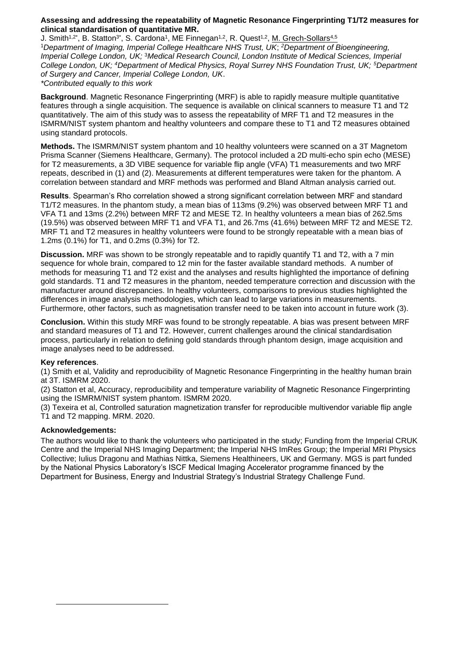#### **Assessing and addressing the repeatability of Magnetic Resonance Fingerprinting T1/T2 measures for clinical standardisation of quantitative MR.**

J. Smith<sup>1,2\*</sup>, B. Statton<sup>3\*</sup>, S. Cardona<sup>1</sup>, ME Finnegan<sup>1,2</sup>, R. Quest<sup>1,2</sup>, <u>M. Grech-Sollars<sup>4,5</sup></u> <sup>1</sup>*Department of Imaging, Imperial College Healthcare NHS Trust, UK*; *<sup>2</sup>Department of Bioengineering, Imperial College London, UK;* <sup>3</sup>*Medical Research Council, London Institute of Medical Sciences, Imperial College London, UK; <sup>4</sup>Department of Medical Physics, Royal Surrey NHS Foundation Trust, UK; <sup>5</sup>Department of Surgery and Cancer, Imperial College London, UK*. *\*Contributed equally to this work*

**Background**. Magnetic Resonance Fingerprinting (MRF) is able to rapidly measure multiple quantitative features through a single acquisition. The sequence is available on clinical scanners to measure T1 and T2 quantitatively. The aim of this study was to assess the repeatability of MRF T1 and T2 measures in the ISMRM/NIST system phantom and healthy volunteers and compare these to T1 and T2 measures obtained using standard protocols.

**Methods.** The ISMRM/NIST system phantom and 10 healthy volunteers were scanned on a 3T Magnetom Prisma Scanner (Siemens Healthcare, Germany). The protocol included a 2D multi-echo spin echo (MESE) for T2 measurements, a 3D VIBE sequence for variable flip angle (VFA) T1 measurements and two MRF repeats, described in (1) and (2). Measurements at different temperatures were taken for the phantom. A correlation between standard and MRF methods was performed and Bland Altman analysis carried out.

**Results**. Spearman's Rho correlation showed a strong significant correlation between MRF and standard T1/T2 measures. In the phantom study, a mean bias of 113ms (9.2%) was observed between MRF T1 and VFA T1 and 13ms (2.2%) between MRF T2 and MESE T2. In healthy volunteers a mean bias of 262.5ms (19.5%) was observed between MRF T1 and VFA T1, and 26.7ms (41.6%) between MRF T2 and MESE T2. MRF T1 and T2 measures in healthy volunteers were found to be strongly repeatable with a mean bias of 1.2ms (0.1%) for T1, and 0.2ms (0.3%) for T2.

**Discussion.** MRF was shown to be strongly repeatable and to rapidly quantify T1 and T2, with a 7 min sequence for whole brain, compared to 12 min for the faster available standard methods. A number of methods for measuring T1 and T2 exist and the analyses and results highlighted the importance of defining gold standards. T1 and T2 measures in the phantom, needed temperature correction and discussion with the manufacturer around discrepancies. In healthy volunteers, comparisons to previous studies highlighted the differences in image analysis methodologies, which can lead to large variations in measurements. Furthermore, other factors, such as magnetisation transfer need to be taken into account in future work (3).

**Conclusion.** Within this study MRF was found to be strongly repeatable. A bias was present between MRF and standard measures of T1 and T2. However, current challenges around the clinical standardisation process, particularly in relation to defining gold standards through phantom design, image acquisition and image analyses need to be addressed.

## **Key references**.

(1) Smith et al, Validity and reproducibility of Magnetic Resonance Fingerprinting in the healthy human brain at 3T. ISMRM 2020.

(2) Statton et al, Accuracy, reproducibility and temperature variability of Magnetic Resonance Fingerprinting using the ISMRM/NIST system phantom. ISMRM 2020.

(3) Texeira et al, Controlled saturation magnetization transfer for reproducible multivendor variable flip angle T1 and T2 mapping. MRM. 2020.

## **Acknowledgements:**

The authors would like to thank the volunteers who participated in the study; Funding from the Imperial CRUK Centre and the Imperial NHS Imaging Department; the Imperial NHS ImRes Group; the Imperial MRI Physics Collective; Iulius Dragonu and Mathias Nittka, Siemens Healthineers, UK and Germany. MGS is part funded by the National Physics Laboratory's ISCF Medical Imaging Accelerator programme financed by the Department for Business, Energy and Industrial Strategy's Industrial Strategy Challenge Fund.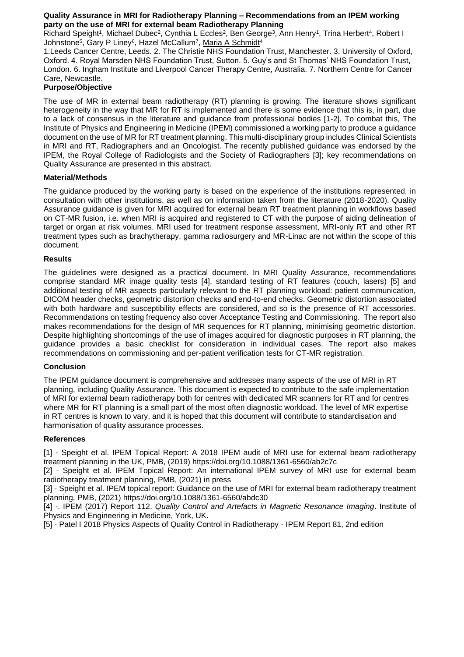#### **Quality Assurance in MRI for Radiotherapy Planning – Recommendations from an IPEM working party on the use of MRI for external beam Radiotherapy Planning**

Richard Speight<sup>1</sup>, Michael Dubec<sup>2</sup>, Cynthia L Eccles<sup>2</sup>, Ben George<sup>3</sup>, Ann Henry<sup>1</sup>, Trina Herbert<sup>4</sup>, Robert I Johnstone<sup>5</sup>, Gary P Liney<sup>6</sup>, Hazel McCallum<sup>7</sup>, <u>Maria A Schmidt</u>4

1.Leeds Cancer Centre, Leeds. 2. The Christie NHS Foundation Trust, Manchester. 3. University of Oxford, Oxford. 4. Royal Marsden NHS Foundation Trust, Sutton. 5. Guy's and St Thomas' NHS Foundation Trust, London. 6. Ingham Institute and Liverpool Cancer Therapy Centre, Australia. 7. Northern Centre for Cancer Care, Newcastle.

## **Purpose/Objective**

The use of MR in external beam radiotherapy (RT) planning is growing. The literature shows significant heterogeneity in the way that MR for RT is implemented and there is some evidence that this is, in part, due to a lack of consensus in the literature and guidance from professional bodies [1-2]. To combat this, The Institute of Physics and Engineering in Medicine (IPEM) commissioned a working party to produce a guidance document on the use of MR for RT treatment planning. This multi-disciplinary group includes Clinical Scientists in MRI and RT, Radiographers and an Oncologist. The recently published guidance was endorsed by the IPEM, the Royal College of Radiologists and the Society of Radiographers [3]; key recommendations on Quality Assurance are presented in this abstract.

## **Material/Methods**

The guidance produced by the working party is based on the experience of the institutions represented, in consultation with other institutions, as well as on information taken from the literature (2018-2020). Quality Assurance guidance is given for MRI acquired for external beam RT treatment planning in workflows based on CT-MR fusion, i.e. when MRI is acquired and registered to CT with the purpose of aiding delineation of target or organ at risk volumes. MRI used for treatment response assessment, MRI-only RT and other RT treatment types such as brachytherapy, gamma radiosurgery and MR-Linac are not within the scope of this document.

#### **Results**

The guidelines were designed as a practical document. In MRI Quality Assurance, recommendations comprise standard MR image quality tests [4], standard testing of RT features (couch, lasers) [5] and additional testing of MR aspects particularly relevant to the RT planning workload: patient communication, DICOM header checks, geometric distortion checks and end-to-end checks. Geometric distortion associated with both hardware and susceptibility effects are considered, and so is the presence of RT accessories. Recommendations on testing frequency also cover Acceptance Testing and Commissioning. The report also makes recommendations for the design of MR sequences for RT planning, minimising geometric distortion. Despite highlighting shortcomings of the use of images acquired for diagnostic purposes in RT planning, the guidance provides a basic checklist for consideration in individual cases. The report also makes recommendations on commissioning and per-patient verification tests for CT-MR registration.

#### **Conclusion**

The IPEM guidance document is comprehensive and addresses many aspects of the use of MRI in RT planning, including Quality Assurance. This document is expected to contribute to the safe implementation of MRI for external beam radiotherapy both for centres with dedicated MR scanners for RT and for centres where MR for RT planning is a small part of the most often diagnostic workload. The level of MR expertise in RT centres is known to vary, and it is hoped that this document will contribute to standardisation and harmonisation of quality assurance processes.

#### **References**

[1] - Speight et al. IPEM Topical Report: A 2018 IPEM audit of MRI use for external beam radiotherapy treatment planning in the UK, PMB, (2019) https://doi.org/10.1088/1361-6560/ab2c7c

[2] - Speight et al. IPEM Topical Report: An international IPEM survey of MRI use for external beam radiotherapy treatment planning, PMB, (2021) in press

[3] - Speight et al. IPEM topical report: Guidance on the use of MRI for external beam radiotherapy treatment planning, PMB, (2021) https://doi.org/10.1088/1361-6560/abdc30

[4] -. IPEM (2017) Report 112. *Quality Control and Artefacts in Magnetic Resonance Imaging*. Institute of Physics and Engineering in Medicine, York, UK.

[5] - Patel I 2018 Physics Aspects of Quality Control in Radiotherapy - IPEM Report 81, 2nd edition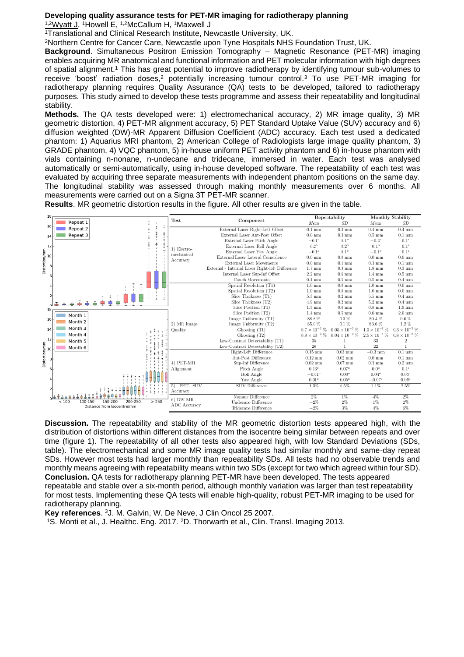#### **Developing quality assurance tests for PET-MR imaging for radiotherapy planning**

<sup>1,2</sup>Wyatt J, <sup>1</sup>Howell E, <sup>1,2</sup>McCallum H, <sup>1</sup>Maxwell J

<sup>1</sup>Translational and Clinical Research Institute, Newcastle University, UK.

<sup>2</sup>Northern Centre for Cancer Care, Newcastle upon Tyne Hospitals NHS Foundation Trust, UK.

**Background**. Simultaneous Positron Emission Tomography – Magnetic Resonance (PET-MR) imaging enables acquiring MR anatomical and functional information and PET molecular information with high degrees of spatial alignment.<sup>1</sup> This has great potential to improve radiotherapy by identifying tumour sub-volumes to receive 'boost' radiation doses,<sup>2</sup> potentially increasing tumour control.<sup>3</sup> To use PET-MR imaging for radiotherapy planning requires Quality Assurance (QA) tests to be developed, tailored to radiotherapy purposes. This study aimed to develop these tests programme and assess their repeatability and longitudinal stability.

**Methods.** The QA tests developed were: 1) electromechanical accuracy, 2) MR image quality, 3) MR geometric distortion, 4) PET-MR alignment accuracy, 5) PET Standard Uptake Value (SUV) accuracy and 6) diffusion weighted (DW)-MR Apparent Diffusion Coefficient (ADC) accuracy. Each test used a dedicated phantom: 1) Aquarius MRI phantom, 2) American College of Radiologists large image quality phantom, 3) GRADE phantom, 4) VQC phantom, 5) in-house uniform PET activity phantom and 6) in-house phantom with vials containing n-nonane, n-undecane and tridecane, immersed in water. Each test was analysed automatically or semi-automatically, using in-house developed software. The repeatability of each test was evaluated by acquiring three separate measurements with independent phantom positions on the same day. The longitudinal stability was assessed through making monthly measurements over 6 months. All measurements were carried out on a Signa 3T PET-MR scanner.

**Results**. MR geometric distortion results in the figure. All other results are given in the table.

| 18                              |                                                |              | Repeatability                                   |                      | <b>Monthly Stability</b> |                      |                        |
|---------------------------------|------------------------------------------------|--------------|-------------------------------------------------|----------------------|--------------------------|----------------------|------------------------|
| 16                              | Repeat 1                                       | Test         | Component                                       | Mean                 | SD                       | Mean                 | SD                     |
|                                 | Repeat 2                                       |              | External Laser Right-Left Offset                | $0.1$ mm             | $0.3 \text{ mm}$         | $0.4 \text{ mm}$     | $0.4 \text{ mm}$       |
| 14                              | Repeat 3                                       |              | External Laser Ant-Post Offset                  | $0.0$ mm             | $0.3 \text{ mm}$         | $0.5 \text{ mm}$     | $0.1 \text{ mm}$       |
|                                 |                                                |              | External Laser Pitch Angle                      | $-0.1^{\circ}$       | 0.1 <sup>o</sup>         | $-0.2^{\circ}$       | $0.1^{\circ}$          |
| 12                              |                                                | 1) Electro-  | External Laser Roll Angle                       | $0.2^{o}$            | $0.2^{o}$                | $0.1^{o}$            | $0.1^{o}$              |
|                                 |                                                | mechanical   | External Laser Yaw Angle                        | $-0.1^{\circ}$       | $0.1^{o}$                | $-0.1^{\circ}$       | $0.1^{o}$              |
| Distortion/mm<br>, ∞   0<br>, ∞ |                                                | Accuracy     | External Laser Lateral Coincidence              | $0.0 \text{ mm}$     | $0.0 \text{ mm}$         | $0.0 \text{ mm}$     | $0.0 \text{ mm}$       |
| 8 <sup>1</sup>                  |                                                |              | <b>External Laser Movements</b>                 | $0.0$ mm             | $0.1 \text{ mm}$         | $0.1 \text{ mm}$     | $0.1 \text{ mm}$       |
|                                 |                                                |              | External - Internal Laser Right-left Difference | $1.7 \text{ mm}$     | $0.3 \text{ mm}$         | $1.8 \text{ mm}$     | $0.3 \text{ mm}$       |
| 6                               |                                                |              | Internal Laser Sup-Inf Offset                   | $2.2 \text{ mm}$     | $0.6$ mm                 | $1.4 \text{ mm}$     | $0.5 \text{ mm}$       |
|                                 |                                                |              | Couch Movements                                 | $0.1$ mm             | $0.5 \text{ mm}$         | $0.5 \text{ mm}$     | $0.4 \text{ mm}$       |
|                                 |                                                |              | Spatial Resolution (T1)                         | $1.0 \text{ mm}$     | $0.0 \text{ mm}$         | $1.0 \text{ mm}$     | $0.0 \text{ mm}$       |
|                                 |                                                |              | Spatial Resolution (T2)                         | $1.0 \text{ mm}$     | $0.0 \text{ mm}$         | $1.0 \text{ mm}$     | $0.0 \text{ mm}$       |
| $\overline{2}$                  |                                                |              | Slice Thickness (T1)                            | $5.3 \text{ mm}$     | $0.2 \text{ mm}$         | $5.5 \text{ mm}$     | $0.4 \text{ mm}$       |
|                                 |                                                |              | Slice Thickness (T2)                            | $4.9 \text{ mm}$     | $0.2 \text{ mm}$         | $5.2 \text{ mm}$     | $0.4 \text{ mm}$       |
| 18                              |                                                |              | Slice Position (T1)                             | $1.3 \text{ mm}$     | $0.6 \text{ mm}$         | $0.8 \text{ mm}$     | $1.9 \text{ mm}$       |
|                                 | Month 1                                        |              | Slice Position $(T2)$                           | $1.4 \text{ mm}$     | $0.5 \text{ mm}$         | $0.6 \text{ mm}$     | $2.0 \text{ mm}$       |
| 16                              | Month <sub>2</sub>                             |              | Image Uniformity (T1)                           | 88.8%                | 0.3%                     | 89.4%                | $0.6\%$                |
|                                 | Month <sub>3</sub>                             | 2) MR Image  | Image Uniformity (T2)                           | 85.0%                | 0.1%                     | 83.6 %               | $1.2\%$                |
| 14                              |                                                | Quality      | Ghosting (T1)                                   | $0.7\times10^{-2}$ % | $0.05 \times 10^{-2}$ %  | $1.3\times10^{-2}$ % | $0.3 \times 10^{-2}$ % |
| 12                              | Month 4                                        |              | Ghosting (T2)                                   | $0.9\times10^{-2}$ % | $0.04\times10^{-2}$ %    | $2.5\times10^{-2}$ % | $0.8 \times 10^{-2}$ % |
|                                 | Month 5                                        |              | Low-Contrast Detectability (T1)                 | 35                   |                          | 33                   |                        |
|                                 | Month 6                                        |              | Low-Contrast Detectability (T2)                 | 26                   |                          | 22                   |                        |
|                                 |                                                |              | Right-Left Difference                           | $0.15$ mm            | $0.03$ mm                | $-0.3 \text{ mm}$    | $0.1 \text{ mm}$       |
|                                 |                                                |              | Ant-Post Difference                             | $0.12 \text{ mm}$    | $0.02$ mm                | $0.0 \text{ mm}$     | $0.1 \text{ mm}$       |
|                                 |                                                | 4) PET-MR    | Sup-Inf Difference                              | $0.02$ mm            | $0.07$ mm                | $0.1 \text{ mm}$     | $0.2 \text{ mm}$       |
|                                 |                                                | Alignment    | Pitch Angle                                     | $0.13^{\circ}$       | $0.07^{\circ}$           | $0.0^{\circ}$        | 0.1 <sup>o</sup>       |
|                                 |                                                |              | Roll Angle                                      | $-0.01^{\circ}$      | $0.00^{\circ}$           | $0.04^{\circ}$       | $0.05^{\circ}$         |
|                                 |                                                |              | Yaw Angle                                       | $0.01^{\circ}$       | $0.05^{\circ}$           | $-0.07^{\circ}$      | $0.06^{\circ}$         |
| $\overline{2}$                  |                                                | PET SUV      | <b>SUV Difference</b>                           | 1.3%                 | 0.5%                     | 1.1%                 | 2.5%                   |
|                                 |                                                | Accuracy     |                                                 |                      |                          |                      |                        |
|                                 | > 250<br>150-200<br>200-250                    | 6) DW-MR     | Nonane Difference                               | $2\%$                | 1%                       | 4%                   | 2%                     |
|                                 | < 100<br>100-150<br>Distance from Isocentre/mm | ADC Accuracy | Undecane Difference                             | $-2%$                | $2\%$                    | 1%                   | 2%                     |
|                                 |                                                |              | Tridecane Difference                            | $-2%$                | 3%                       | 4%                   | 6%                     |

**Discussion.** The repeatability and stability of the MR geometric distortion tests appeared high, with the distribution of distortions within different distances from the isocentre being similar between repeats and over time (figure 1). The repeatability of all other tests also appeared high, with low Standard Deviations (SDs, table). The electromechanical and some MR image quality tests had similar monthly and same-day repeat SDs. However most tests had larger monthly than repeatability SDs. All tests had no observable trends and monthly means agreeing with repeatability means within two SDs (except for two which agreed within four SD). **Conclusion.** QA tests for radiotherapy planning PET-MR have been developed. The tests appeared repeatable and stable over a six-month period, although monthly variation was larger than test repeatability for most tests. Implementing these QA tests will enable high-quality, robust PET-MR imaging to be used for radiotherapy planning.

**Key references**. <sup>3</sup>J. M. Galvin, W. De Neve, J Clin Oncol 25 2007.

1S. Monti et al., J. Healthc. Eng. 2017. 2D. Thorwarth et al., Clin. Transl. Imaging 2013.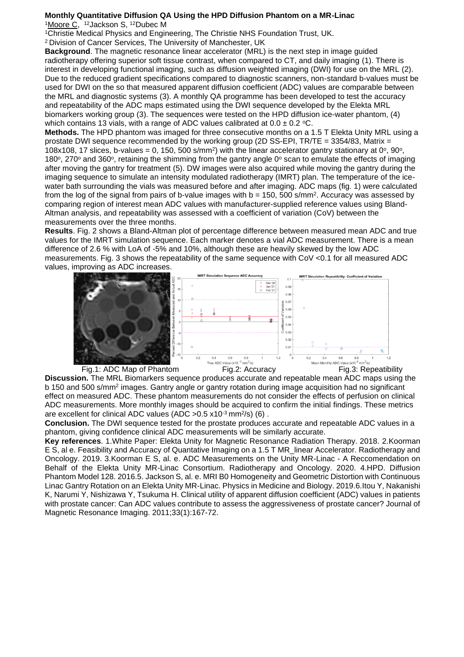#### **Monthly Quantitative Diffusion QA Using the HPD Diffusion Phantom on a MR-Linac** <sup>1</sup>Moore C, <sup>12</sup>Jackson S, <sup>12</sup>Dubec M

<sup>1</sup>Christie Medical Physics and Engineering, The Christie NHS Foundation Trust, UK.

<sup>2</sup>Division of Cancer Services, The University of Manchester, UK

**Background**. The magnetic resonance linear accelerator (MRL) is the next step in image guided radiotherapy offering superior soft tissue contrast, when compared to CT, and daily imaging (1). There is interest in developing functional imaging, such as diffusion weighted imaging (DWI) for use on the MRL (2). Due to the reduced gradient specifications compared to diagnostic scanners, non-standard b-values must be used for DWI on the so that measured apparent diffusion coefficient (ADC) values are comparable between the MRL and diagnostic systems (3). A monthly QA programme has been developed to test the accuracy and repeatability of the ADC maps estimated using the DWI sequence developed by the Elekta MRL biomarkers working group (3). The sequences were tested on the HPD diffusion ice-water phantom, (4) which contains 13 vials, with a range of ADC values calibrated at  $0.0 \pm 0.2$  °C.

**Methods.** The HPD phantom was imaged for three consecutive months on a 1.5 T Elekta Unity MRL using a prostate DWI sequence recommended by the working group (2D SS-EPI, TR/TE = 3354/83, Matrix = 108x108, 17 slices, b-values = 0, 150, 500 s/mm<sup>2</sup>) with the linear accelerator gantry stationary at 0°, 90°, 180 $\degree$ , 270 $\degree$  and 360 $\degree$ , retaining the shimming from the gantry angle 0 $\degree$  scan to emulate the effects of imaging after moving the gantry for treatment (5). DW images were also acquired while moving the gantry during the imaging sequence to simulate an intensity modulated radiotherapy (IMRT) plan. The temperature of the icewater bath surrounding the vials was measured before and after imaging. ADC maps (fig. 1) were calculated from the log of the signal from pairs of b-value images with  $b = 150$ , 500 s/mm<sup>2</sup>. Accuracy was assessed by comparing region of interest mean ADC values with manufacturer-supplied reference values using Bland-Altman analysis, and repeatability was assessed with a coefficient of variation (CoV) between the measurements over the three months.

**Results**. Fig. 2 shows a Bland-Altman plot of percentage difference between measured mean ADC and true values for the IMRT simulation sequence. Each marker denotes a vial ADC measurement. There is a mean difference of 2.6 % with LoA of -5% and 10%, although these are heavily skewed by the low ADC measurements. Fig. 3 shows the repeatability of the same sequence with CoV <0.1 for all measured ADC values, improving as ADC increases.



**Discussion.** The MRL Biomarkers sequence produces accurate and repeatable mean ADC maps using the b 150 and 500 s/mm<sup>2</sup> images. Gantry angle or gantry rotation during image acquisition had no significant effect on measured ADC. These phantom measurements do not consider the effects of perfusion on clinical ADC measurements. More monthly images should be acquired to confirm the initial findings. These metrics are excellent for clinical ADC values (ADC >  $0.5 \times 10^{-3}$  mm<sup>2</sup>/s) (6).

**Conclusion.** The DWI sequence tested for the prostate produces accurate and repeatable ADC values in a phantom, giving confidence clinical ADC measurements will be similarly accurate.

**Key references**. 1.White Paper: Elekta Unity for Magnetic Resonance Radiation Therapy. 2018. 2.Koorman E S, al e. Feasibility and Accuracy of Quantative Imaging on a 1.5 T MR\_linear Accelerator. Radiotherapy and Oncology. 2019. 3.Koorman E S, al. e. ADC Measurements on the Unity MR-Linac - A Reccomendation on Behalf of the Elekta Unity MR-Linac Consortium. Radiotherapy and Oncology. 2020. 4.HPD. Diffusion Phantom Model 128. 2016.5. Jackson S, al. e. MRI B0 Homogeneity and Geometric Distortion with Continuous Linac Gantry Rotation on an Elekta Unity MR-Linac. Physics in Medicine and Biology. 2019.6.Itou Y, Nakanishi K, Narumi Y, Nishizawa Y, Tsukuma H. Clinical utility of apparent diffusion coefficient (ADC) values in patients with prostate cancer: Can ADC values contribute to assess the aggressiveness of prostate cancer? Journal of Magnetic Resonance Imaging. 2011;33(1):167-72.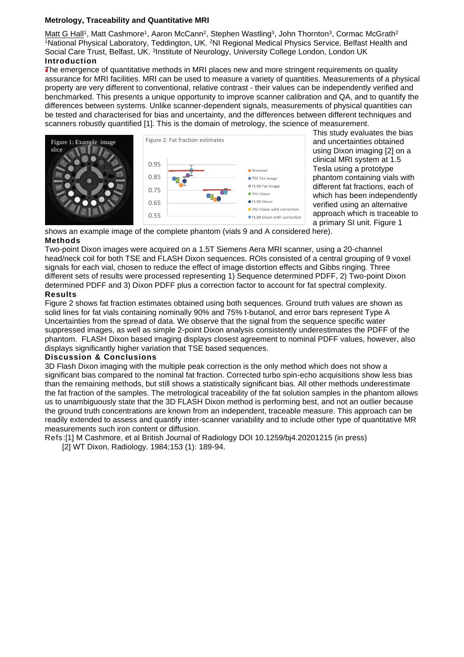### **Metrology, Traceability and Quantitative MRI**

Matt G Hall<sup>1</sup>, Matt Cashmore<sup>1</sup>, Aaron McCann<sup>2</sup>, Stephen Wastling<sup>3</sup>, John Thornton<sup>3</sup>, Cormac McGrath<sup>2</sup> <sup>1</sup>National Physical Laboratory, Teddington, UK. <sup>2</sup>NI Regional Medical Physics Service, Belfast Health and Social Care Trust, Belfast, UK. <sup>3</sup>Institute of Neurology, University College London, London UK **Introduction**

The emergence of quantitative methods in MRI places new and more stringent requirements on quality assurance for MRI facilities. MRI can be used to measure a variety of quantities. Measurements of a physical property are very different to conventional, relative contrast - their values can be independently verified and benchmarked. This presents a unique opportunity to improve scanner calibration and QA, and to quantify the differences between systems. Unlike scanner-dependent signals, measurements of physical quantities can be tested and characterised for bias and uncertainty, and the differences between different techniques and scanners robustly quantified [1]. This is the domain of metrology, the science of measurement.



This study evaluates the bias and uncertainties obtained using Dixon imaging [2] on a clinical MRI system at 1.5 Tesla using a prototype phantom containing vials with different fat fractions, each of which has been independently verified using an alternative approach which is traceable to a primary SI unit. Figure 1

shows an example image of the complete phantom (vials 9 and A considered here). **Methods**

Two-point Dixon images were acquired on a 1.5T Siemens Aera MRI scanner, using a 20-channel head/neck coil for both TSE and FLASH Dixon sequences. ROIs consisted of a central grouping of 9 voxel signals for each vial, chosen to reduce the effect of image distortion effects and Gibbs ringing. Three different sets of results were processed representing 1) Sequence determined PDFF, 2) Two-point Dixon determined PDFF and 3) Dixon PDFF plus a correction factor to account for fat spectral complexity.

#### **Results**

Figure 2 shows fat fraction estimates obtained using both sequences. Ground truth values are shown as solid lines for fat vials containing nominally 90% and 75% t-butanol, and error bars represent Type A Uncertainties from the spread of data. We observe that the signal from the sequence specific water suppressed images, as well as simple 2-point Dixon analysis consistently underestimates the PDFF of the phantom. FLASH Dixon based imaging displays closest agreement to nominal PDFF values, however, also displays significantly higher variation that TSE based sequences.

#### **Discussion & Conclusions**

3D Flash Dixon imaging with the multiple peak correction is the only method which does not show a significant bias compared to the nominal fat fraction. Corrected turbo spin-echo acquisitions show less bias than the remaining methods, but still shows a statistically significant bias. All other methods underestimate the fat fraction of the samples. The metrological traceability of the fat solution samples in the phantom allows us to unambiguously state that the 3D FLASH Dixon method is performing best, and not an outlier because the ground truth concentrations are known from an independent, traceable measure. This approach can be readily extended to assess and quantify inter-scanner variability and to include other type of quantitative MR measurements such iron content or diffusion.

Refs:[1] M Cashmore, et al British Journal of Radiology DOI 10.1259/bj4.20201215 (in press) [2] WT Dixon, Radiology. 1984;153 (1): 189-94.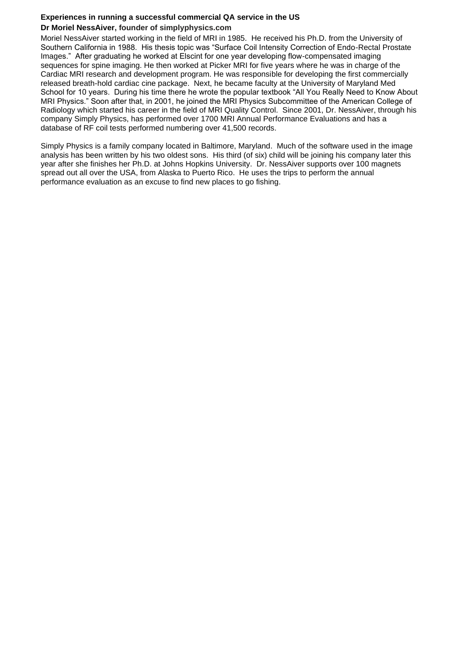# **Experiences in running a successful commercial QA service in the US Dr Moriel NessAiver, founder of simplyphysics.com**

Moriel NessAiver started working in the field of MRI in 1985. He received his Ph.D. from the University of Southern California in 1988. His thesis topic was "Surface Coil Intensity Correction of Endo-Rectal Prostate Images." After graduating he worked at Elscint for one year developing flow-compensated imaging sequences for spine imaging. He then worked at Picker MRI for five years where he was in charge of the Cardiac MRI research and development program. He was responsible for developing the first commercially released breath-hold cardiac cine package. Next, he became faculty at the University of Maryland Med School for 10 years. During his time there he wrote the popular textbook "All You Really Need to Know About MRI Physics." Soon after that, in 2001, he joined the MRI Physics Subcommittee of the American College of Radiology which started his career in the field of MRI Quality Control. Since 2001, Dr. NessAiver, through his company Simply Physics, has performed over 1700 MRI Annual Performance Evaluations and has a database of RF coil tests performed numbering over 41,500 records.

Simply Physics is a family company located in Baltimore, Maryland. Much of the software used in the image analysis has been written by his two oldest sons. His third (of six) child will be joining his company later this year after she finishes her Ph.D. at Johns Hopkins University. Dr. NessAiver supports over 100 magnets spread out all over the USA, from Alaska to Puerto Rico. He uses the trips to perform the annual performance evaluation as an excuse to find new places to go fishing.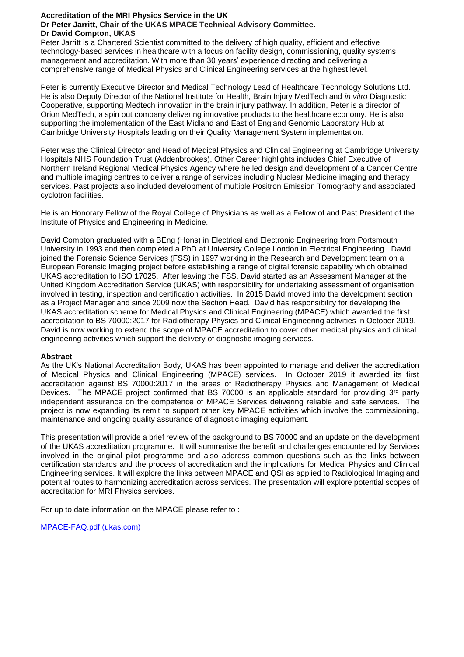## **Accreditation of the MRI Physics Service in the UK**

#### **Dr Peter Jarritt, Chair of the UKAS MPACE Technical Advisory Committee. Dr David Compton, UKAS**

Peter Jarritt is a Chartered Scientist committed to the delivery of high quality, efficient and effective technology-based services in healthcare with a focus on facility design, commissioning, quality systems management and accreditation. With more than 30 years' experience directing and delivering a comprehensive range of Medical Physics and Clinical Engineering services at the highest level.

Peter is currently Executive Director and Medical Technology Lead of Healthcare Technology Solutions Ltd. He is also Deputy Director of the National Institute for Health, Brain Injury MedTech and *in vitro* Diagnostic Cooperative, supporting Medtech innovation in the brain injury pathway. In addition, Peter is a director of Orion MedTech, a spin out company delivering innovative products to the healthcare economy. He is also supporting the implementation of the East Midland and East of England Genomic Laboratory Hub at Cambridge University Hospitals leading on their Quality Management System implementation.

Peter was the Clinical Director and Head of Medical Physics and Clinical Engineering at Cambridge University Hospitals NHS Foundation Trust (Addenbrookes). Other Career highlights includes Chief Executive of Northern Ireland Regional Medical Physics Agency where he led design and development of a Cancer Centre and multiple imaging centres to deliver a range of services including Nuclear Medicine imaging and therapy services. Past projects also included development of multiple Positron Emission Tomography and associated cyclotron facilities.

He is an Honorary Fellow of the Royal College of Physicians as well as a Fellow of and Past President of the Institute of Physics and Engineering in Medicine.

David Compton graduated with a BEng (Hons) in Electrical and Electronic Engineering from Portsmouth University in 1993 and then completed a PhD at University College London in Electrical Engineering. David joined the Forensic Science Services (FSS) in 1997 working in the Research and Development team on a European Forensic Imaging project before establishing a range of digital forensic capability which obtained UKAS accreditation to ISO 17025. After leaving the FSS, David started as an Assessment Manager at the United Kingdom Accreditation Service (UKAS) with responsibility for undertaking assessment of organisation involved in testing, inspection and certification activities. In 2015 David moved into the development section as a Project Manager and since 2009 now the Section Head. David has responsibility for developing the UKAS accreditation scheme for Medical Physics and Clinical Engineering (MPACE) which awarded the first accreditation to BS 70000:2017 for Radiotherapy Physics and Clinical Engineering activities in October 2019. David is now working to extend the scope of MPACE accreditation to cover other medical physics and clinical engineering activities which support the delivery of diagnostic imaging services.

## **Abstract**

As the UK's National Accreditation Body, UKAS has been appointed to manage and deliver the accreditation of Medical Physics and Clinical Engineering (MPACE) services. In October 2019 it awarded its first accreditation against BS 70000:2017 in the areas of Radiotherapy Physics and Management of Medical Devices. The MPACE project confirmed that BS 70000 is an applicable standard for providing  $3<sup>rd</sup>$  party independent assurance on the competence of MPACE Services delivering reliable and safe services. The project is now expanding its remit to support other key MPACE activities which involve the commissioning, maintenance and ongoing quality assurance of diagnostic imaging equipment.

This presentation will provide a brief review of the background to BS 70000 and an update on the development of the UKAS accreditation programme. It will summarise the benefit and challenges encountered by Services involved in the original pilot programme and also address common questions such as the links between certification standards and the process of accreditation and the implications for Medical Physics and Clinical Engineering services. It will explore the links between MPACE and QSI as applied to Radiological Imaging and potential routes to harmonizing accreditation across services. The presentation will explore potential scopes of accreditation for MRI Physics services.

For up to date information on the MPACE please refer to :

[MPACE-FAQ.pdf \(ukas.com\)](https://www.ukas.com/wp-content/uploads/2021/01/MPACE-FAQ.pdf)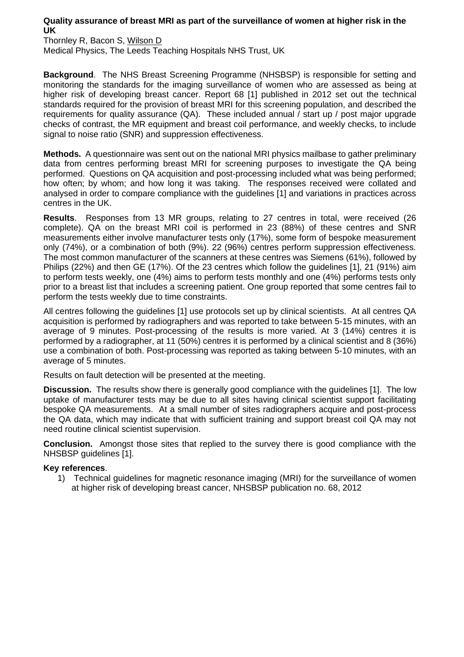## **Quality assurance of breast MRI as part of the surveillance of women at higher risk in the UK**

Thornley R, Bacon S, Wilson D Medical Physics, The Leeds Teaching Hospitals NHS Trust, UK

**Background**. The NHS Breast Screening Programme (NHSBSP) is responsible for setting and monitoring the standards for the imaging surveillance of women who are assessed as being at higher risk of developing breast cancer. Report 68 [1] published in 2012 set out the technical standards required for the provision of breast MRI for this screening population, and described the requirements for quality assurance (QA). These included annual / start up / post major upgrade checks of contrast, the MR equipment and breast coil performance, and weekly checks, to include signal to noise ratio (SNR) and suppression effectiveness.

**Methods.** A questionnaire was sent out on the national MRI physics mailbase to gather preliminary data from centres performing breast MRI for screening purposes to investigate the QA being performed. Questions on QA acquisition and post-processing included what was being performed; how often; by whom; and how long it was taking. The responses received were collated and analysed in order to compare compliance with the guidelines [1] and variations in practices across centres in the UK.

**Results**. Responses from 13 MR groups, relating to 27 centres in total, were received (26 complete). QA on the breast MRI coil is performed in 23 (88%) of these centres and SNR measurements either involve manufacturer tests only (17%), some form of bespoke measurement only (74%), or a combination of both (9%). 22 (96%) centres perform suppression effectiveness. The most common manufacturer of the scanners at these centres was Siemens (61%), followed by Philips (22%) and then GE (17%). Of the 23 centres which follow the guidelines [1], 21 (91%) aim to perform tests weekly, one (4%) aims to perform tests monthly and one (4%) performs tests only prior to a breast list that includes a screening patient. One group reported that some centres fail to perform the tests weekly due to time constraints.

All centres following the guidelines [1] use protocols set up by clinical scientists. At all centres QA acquisition is performed by radiographers and was reported to take between 5-15 minutes, with an average of 9 minutes. Post-processing of the results is more varied. At 3 (14%) centres it is performed by a radiographer, at 11 (50%) centres it is performed by a clinical scientist and 8 (36%) use a combination of both. Post-processing was reported as taking between 5-10 minutes, with an average of 5 minutes.

Results on fault detection will be presented at the meeting.

**Discussion.** The results show there is generally good compliance with the guidelines [1]. The low uptake of manufacturer tests may be due to all sites having clinical scientist support facilitating bespoke QA measurements. At a small number of sites radiographers acquire and post-process the QA data, which may indicate that with sufficient training and support breast coil QA may not need routine clinical scientist supervision.

**Conclusion.** Amongst those sites that replied to the survey there is good compliance with the NHSBSP guidelines [1].

# **Key references**.

1) Technical guidelines for magnetic resonance imaging (MRI) for the surveillance of women at higher risk of developing breast cancer, NHSBSP publication no. 68, 2012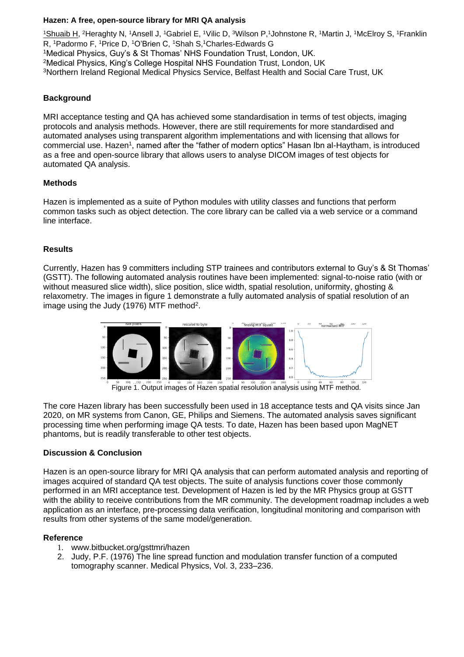## **Hazen: A free, open-source library for MRI QA analysis**

<u>1Shuaib H</u>, <sup>2</sup>Heraghty N, 1Ansell J, 1Gabriel E, 1Vilic D, <sup>3</sup>Wilson P,1Johnstone R, 1Martin J, 1McElroy S, 1Franklin R, <sup>1</sup>Padormo F, <sup>1</sup>Price D, <sup>1</sup>O'Brien C, <sup>1</sup>Shah S,<sup>1</sup>Charles-Edwards G <sup>1</sup>Medical Physics, Guy's & St Thomas' NHS Foundation Trust, London, UK. <sup>2</sup>Medical Physics, King's College Hospital NHS Foundation Trust, London, UK <sup>3</sup>Northern Ireland Regional Medical Physics Service, Belfast Health and Social Care Trust, UK

# **Background**

MRI acceptance testing and QA has achieved some standardisation in terms of test objects, imaging protocols and analysis methods. However, there are still requirements for more standardised and automated analyses using transparent algorithm implementations and with licensing that allows for commercial use. Hazen<sup>1</sup>, named after the "father of modern optics" Hasan Ibn al-Haytham, is introduced as a free and open-source library that allows users to analyse DICOM images of test objects for automated QA analysis.

## **Methods**

Hazen is implemented as a suite of Python modules with utility classes and functions that perform common tasks such as object detection. The core library can be called via a web service or a command line interface.

## **Results**

Currently, Hazen has 9 committers including STP trainees and contributors external to Guy's & St Thomas' (GSTT). The following automated analysis routines have been implemented: signal-to-noise ratio (with or without measured slice width), slice position, slice width, spatial resolution, uniformity, ghosting & relaxometry. The images in figure 1 demonstrate a fully automated analysis of spatial resolution of an image using the Judy (1976) MTF method<sup>2</sup>.



Figure 1. Output images of Hazen spatial resolution analysis using MTF method.

The core Hazen library has been successfully been used in 18 acceptance tests and QA visits since Jan 2020, on MR systems from Canon, GE, Philips and Siemens. The automated analysis saves significant processing time when performing image QA tests. To date, Hazen has been based upon MagNET phantoms, but is readily transferable to other test objects.

## **Discussion & Conclusion**

Hazen is an open-source library for MRI QA analysis that can perform automated analysis and reporting of images acquired of standard QA test objects. The suite of analysis functions cover those commonly performed in an MRI acceptance test. Development of Hazen is led by the MR Physics group at GSTT with the ability to receive contributions from the MR community. The development roadmap includes a web application as an interface, pre-processing data verification, longitudinal monitoring and comparison with results from other systems of the same model/generation.

## **Reference**

- 1. www.bitbucket.org/gsttmri/hazen
- 2. Judy, P.F. (1976) The line spread function and modulation transfer function of a computed tomography scanner. Medical Physics, Vol. 3, 233–236.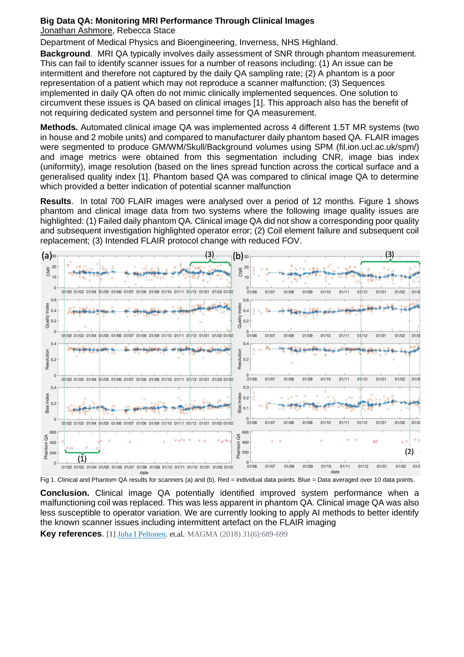# **Big Data QA: Monitoring MRI Performance Through Clinical Images**

Jonathan Ashmore, Rebecca Stace

Department of Medical Physics and Bioengineering, Inverness, NHS Highland.

**Background**. MRI QA typically involves daily assessment of SNR through phantom measurement. This can fail to identify scanner issues for a number of reasons including: (1) An issue can be intermittent and therefore not captured by the daily QA sampling rate; (2) A phantom is a poor representation of a patient which may not reproduce a scanner malfunction; (3) Sequences implemented in daily QA often do not mimic clinically implemented sequences. One solution to circumvent these issues is QA based on clinical images [1]. This approach also has the benefit of not requiring dedicated system and personnel time for QA measurement.

**Methods.** Automated clinical image QA was implemented across 4 different 1.5T MR systems (two in house and 2 mobile units) and compared to manufacturer daily phantom based QA. FLAIR images were segmented to produce GM/WM/Skull/Background volumes using SPM (fil.ion.ucl.ac.uk/spm/) and image metrics were obtained from this segmentation including CNR, image bias index (uniformity), image resolution (based on the lines spread function across the cortical surface and a generalised quality index [1]. Phantom based QA was compared to clinical image QA to determine which provided a better indication of potential scanner malfunction

**Results**. In total 700 FLAIR images were analysed over a period of 12 months. Figure 1 shows phantom and clinical image data from two systems where the following image quality issues are highlighted: (1) Failed daily phantom QA. Clinical image QA did not show a corresponding poor quality and subsequent investigation highlighted operator error; (2) Coil element failure and subsequent coil replacement; (3) Intended FLAIR protocol change with reduced FOV.



Fig 1. Clinical and Phantom QA results for scanners (a) and (b). Red = individual data points. Blue = Data averaged over 10 data points.

**Conclusion.** Clinical image QA potentially identified improved system performance when a malfunctioning coil was replaced. This was less apparent in phantom QA. Clinical image QA was also less susceptible to operator variation. We are currently looking to apply AI methods to better identify the known scanner issues including intermittent artefact on the FLAIR imaging

**Key references**. [1] [Juha I Peltonen,](https://pubmed.ncbi.nlm.nih.gov/?term=Peltonen+JI&cauthor_id=30120616) et.al.. MAGMA (2018) 31(6):689-699